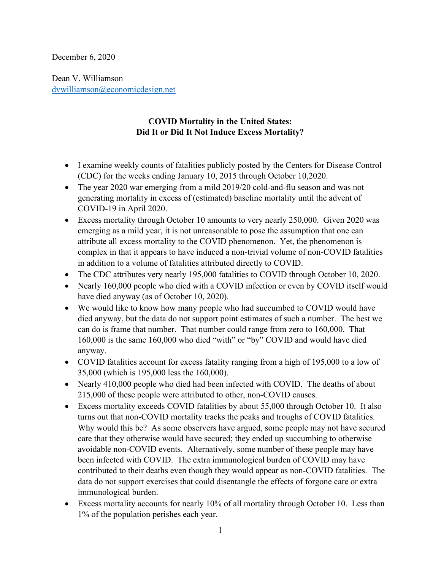December 6, 2020

Dean V. Williamson dvwilliamson@economicdesign.net

## COVID Mortality in the United States: Did It or Did It Not Induce Excess Mortality?

- I examine weekly counts of fatalities publicly posted by the Centers for Disease Control (CDC) for the weeks ending January 10, 2015 through October 10,2020.
- The year 2020 war emerging from a mild 2019/20 cold-and-flu season and was not generating mortality in excess of (estimated) baseline mortality until the advent of COVID-19 in April 2020.
- Excess mortality through October 10 amounts to very nearly 250,000. Given 2020 was emerging as a mild year, it is not unreasonable to pose the assumption that one can attribute all excess mortality to the COVID phenomenon. Yet, the phenomenon is complex in that it appears to have induced a non-trivial volume of non-COVID fatalities in addition to a volume of fatalities attributed directly to COVID.
- The CDC attributes very nearly 195,000 fatalities to COVID through October 10, 2020.
- Nearly 160,000 people who died with a COVID infection or even by COVID itself would have died anyway (as of October 10, 2020).
- We would like to know how many people who had succumbed to COVID would have died anyway, but the data do not support point estimates of such a number. The best we can do is frame that number. That number could range from zero to 160,000. That 160,000 is the same 160,000 who died "with" or "by" COVID and would have died anyway.
- COVID fatalities account for excess fatality ranging from a high of 195,000 to a low of 35,000 (which is 195,000 less the 160,000).
- Nearly 410,000 people who died had been infected with COVID. The deaths of about 215,000 of these people were attributed to other, non-COVID causes.
- Excess mortality exceeds COVID fatalities by about 55,000 through October 10. It also turns out that non-COVID mortality tracks the peaks and troughs of COVID fatalities. Why would this be? As some observers have argued, some people may not have secured care that they otherwise would have secured; they ended up succumbing to otherwise avoidable non-COVID events. Alternatively, some number of these people may have been infected with COVID. The extra immunological burden of COVID may have contributed to their deaths even though they would appear as non-COVID fatalities. The data do not support exercises that could disentangle the effects of forgone care or extra immunological burden.
- Excess mortality accounts for nearly 10% of all mortality through October 10. Less than 1% of the population perishes each year.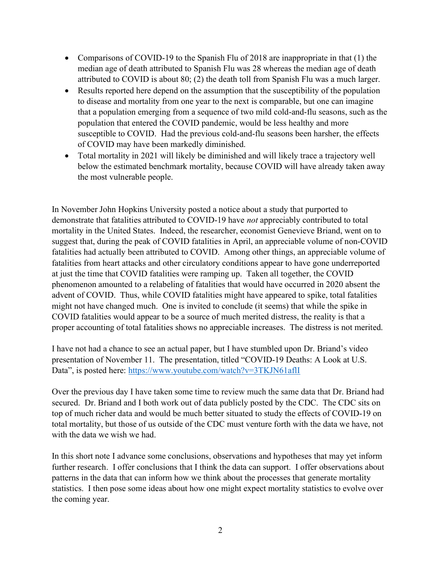- Comparisons of COVID-19 to the Spanish Flu of 2018 are inappropriate in that (1) the median age of death attributed to Spanish Flu was 28 whereas the median age of death attributed to COVID is about 80; (2) the death toll from Spanish Flu was a much larger.
- Results reported here depend on the assumption that the susceptibility of the population to disease and mortality from one year to the next is comparable, but one can imagine that a population emerging from a sequence of two mild cold-and-flu seasons, such as the population that entered the COVID pandemic, would be less healthy and more susceptible to COVID. Had the previous cold-and-flu seasons been harsher, the effects of COVID may have been markedly diminished.
- Total mortality in 2021 will likely be diminished and will likely trace a trajectory well below the estimated benchmark mortality, because COVID will have already taken away the most vulnerable people.

In November John Hopkins University posted a notice about a study that purported to demonstrate that fatalities attributed to COVID-19 have not appreciably contributed to total mortality in the United States. Indeed, the researcher, economist Genevieve Briand, went on to suggest that, during the peak of COVID fatalities in April, an appreciable volume of non-COVID fatalities had actually been attributed to COVID. Among other things, an appreciable volume of fatalities from heart attacks and other circulatory conditions appear to have gone underreported at just the time that COVID fatalities were ramping up. Taken all together, the COVID phenomenon amounted to a relabeling of fatalities that would have occurred in 2020 absent the advent of COVID. Thus, while COVID fatalities might have appeared to spike, total fatalities might not have changed much. One is invited to conclude (it seems) that while the spike in COVID fatalities would appear to be a source of much merited distress, the reality is that a proper accounting of total fatalities shows no appreciable increases. The distress is not merited.

I have not had a chance to see an actual paper, but I have stumbled upon Dr. Briand's video presentation of November 11. The presentation, titled "COVID-19 Deaths: A Look at U.S. Data", is posted here: https://www.youtube.com/watch?v=3TKJN61aflI

Over the previous day I have taken some time to review much the same data that Dr. Briand had secured. Dr. Briand and I both work out of data publicly posted by the CDC. The CDC sits on top of much richer data and would be much better situated to study the effects of COVID-19 on total mortality, but those of us outside of the CDC must venture forth with the data we have, not with the data we wish we had.

In this short note I advance some conclusions, observations and hypotheses that may yet inform further research. I offer conclusions that I think the data can support. I offer observations about patterns in the data that can inform how we think about the processes that generate mortality statistics. I then pose some ideas about how one might expect mortality statistics to evolve over the coming year.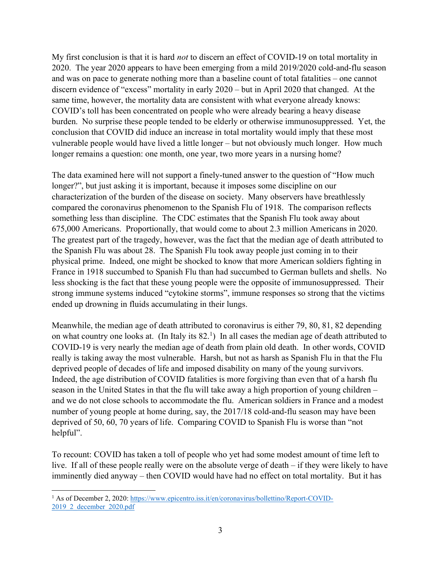My first conclusion is that it is hard *not* to discern an effect of COVID-19 on total mortality in 2020. The year 2020 appears to have been emerging from a mild 2019/2020 cold-and-flu season and was on pace to generate nothing more than a baseline count of total fatalities – one cannot discern evidence of "excess" mortality in early 2020 – but in April 2020 that changed. At the same time, however, the mortality data are consistent with what everyone already knows: COVID's toll has been concentrated on people who were already bearing a heavy disease burden. No surprise these people tended to be elderly or otherwise immunosuppressed. Yet, the conclusion that COVID did induce an increase in total mortality would imply that these most vulnerable people would have lived a little longer – but not obviously much longer. How much longer remains a question: one month, one year, two more years in a nursing home?

The data examined here will not support a finely-tuned answer to the question of "How much longer?", but just asking it is important, because it imposes some discipline on our characterization of the burden of the disease on society. Many observers have breathlessly compared the coronavirus phenomenon to the Spanish Flu of 1918. The comparison reflects something less than discipline. The CDC estimates that the Spanish Flu took away about 675,000 Americans. Proportionally, that would come to about 2.3 million Americans in 2020. The greatest part of the tragedy, however, was the fact that the median age of death attributed to the Spanish Flu was about 28. The Spanish Flu took away people just coming in to their physical prime. Indeed, one might be shocked to know that more American soldiers fighting in France in 1918 succumbed to Spanish Flu than had succumbed to German bullets and shells. No less shocking is the fact that these young people were the opposite of immunosuppressed. Their strong immune systems induced "cytokine storms", immune responses so strong that the victims ended up drowning in fluids accumulating in their lungs.

Meanwhile, the median age of death attributed to coronavirus is either 79, 80, 81, 82 depending on what country one looks at. (In Italy its  $82<sup>1</sup>$ ) In all cases the median age of death attributed to COVID-19 is very nearly the median age of death from plain old death. In other words, COVID really is taking away the most vulnerable. Harsh, but not as harsh as Spanish Flu in that the Flu deprived people of decades of life and imposed disability on many of the young survivors. Indeed, the age distribution of COVID fatalities is more forgiving than even that of a harsh flu season in the United States in that the flu will take away a high proportion of young children – and we do not close schools to accommodate the flu. American soldiers in France and a modest number of young people at home during, say, the 2017/18 cold-and-flu season may have been deprived of 50, 60, 70 years of life. Comparing COVID to Spanish Flu is worse than "not helpful".

To recount: COVID has taken a toll of people who yet had some modest amount of time left to live. If all of these people really were on the absolute verge of death – if they were likely to have imminently died anyway – then COVID would have had no effect on total mortality. But it has

<sup>&</sup>lt;sup>1</sup> As of December 2, 2020: https://www.epicentro.iss.it/en/coronavirus/bollettino/Report-COVID-2019\_2\_december\_2020.pdf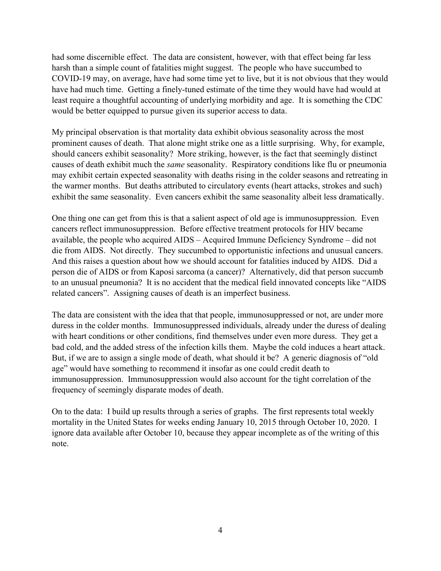had some discernible effect. The data are consistent, however, with that effect being far less harsh than a simple count of fatalities might suggest. The people who have succumbed to COVID-19 may, on average, have had some time yet to live, but it is not obvious that they would have had much time. Getting a finely-tuned estimate of the time they would have had would at least require a thoughtful accounting of underlying morbidity and age. It is something the CDC would be better equipped to pursue given its superior access to data.

My principal observation is that mortality data exhibit obvious seasonality across the most prominent causes of death. That alone might strike one as a little surprising. Why, for example, should cancers exhibit seasonality? More striking, however, is the fact that seemingly distinct causes of death exhibit much the same seasonality. Respiratory conditions like flu or pneumonia may exhibit certain expected seasonality with deaths rising in the colder seasons and retreating in the warmer months. But deaths attributed to circulatory events (heart attacks, strokes and such) exhibit the same seasonality. Even cancers exhibit the same seasonality albeit less dramatically.

One thing one can get from this is that a salient aspect of old age is immunosuppression. Even cancers reflect immunosuppression. Before effective treatment protocols for HIV became available, the people who acquired AIDS – Acquired Immune Deficiency Syndrome – did not die from AIDS. Not directly. They succumbed to opportunistic infections and unusual cancers. And this raises a question about how we should account for fatalities induced by AIDS. Did a person die of AIDS or from Kaposi sarcoma (a cancer)? Alternatively, did that person succumb to an unusual pneumonia? It is no accident that the medical field innovated concepts like "AIDS related cancers". Assigning causes of death is an imperfect business.

The data are consistent with the idea that that people, immunosuppressed or not, are under more duress in the colder months. Immunosuppressed individuals, already under the duress of dealing with heart conditions or other conditions, find themselves under even more duress. They get a bad cold, and the added stress of the infection kills them. Maybe the cold induces a heart attack. But, if we are to assign a single mode of death, what should it be? A generic diagnosis of "old age" would have something to recommend it insofar as one could credit death to immunosuppression. Immunosuppression would also account for the tight correlation of the frequency of seemingly disparate modes of death.

On to the data: I build up results through a series of graphs. The first represents total weekly mortality in the United States for weeks ending January 10, 2015 through October 10, 2020. I ignore data available after October 10, because they appear incomplete as of the writing of this note.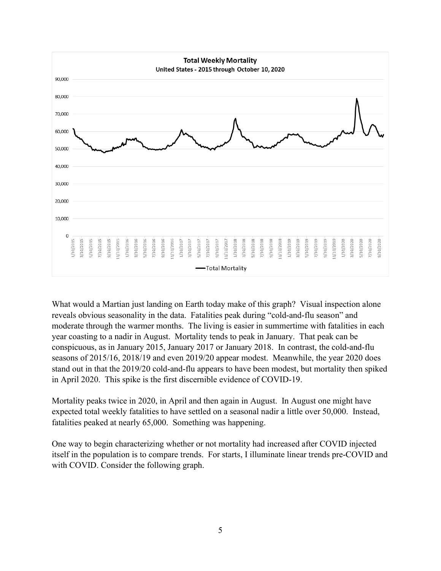

What would a Martian just landing on Earth today make of this graph? Visual inspection alone reveals obvious seasonality in the data. Fatalities peak during "cold-and-flu season" and moderate through the warmer months. The living is easier in summertime with fatalities in each year coasting to a nadir in August. Mortality tends to peak in January. That peak can be conspicuous, as in January 2015, January 2017 or January 2018. In contrast, the cold-and-flu seasons of 2015/16, 2018/19 and even 2019/20 appear modest. Meanwhile, the year 2020 does stand out in that the 2019/20 cold-and-flu appears to have been modest, but mortality then spiked in April 2020. This spike is the first discernible evidence of COVID-19.

Mortality peaks twice in 2020, in April and then again in August. In August one might have expected total weekly fatalities to have settled on a seasonal nadir a little over 50,000. Instead, fatalities peaked at nearly 65,000. Something was happening.

One way to begin characterizing whether or not mortality had increased after COVID injected itself in the population is to compare trends. For starts, I illuminate linear trends pre-COVID and with COVID. Consider the following graph.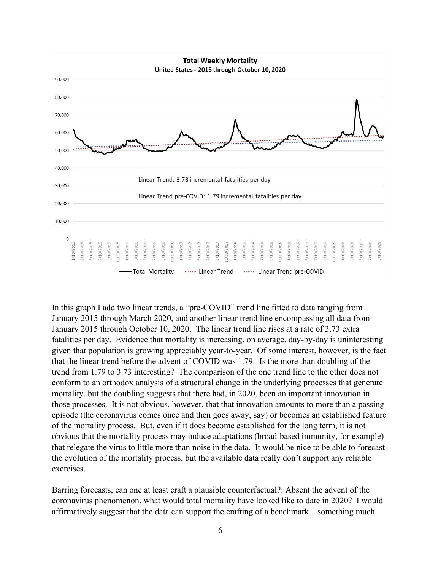

In this graph I add two linear trends, a "pre-COVID" trend line fitted to data ranging from January 2015 through March 2020, and another linear trend line encompassing all data from January 2015 through October 10, 2020. The linear trend line rises at a rate of 3.73 extra fatalities per day. Evidence that mortality is increasing, on average, day-by-day is uninteresting given that population is growing appreciably year-to-year. Of some interest, however, is the fact that the linear trend before the advent of COVID was 1.79. Is the more than doubling of the trend from 1.79 to 3.73 interesting? The comparison of the one trend line to the other does not conform to an orthodox analysis of a structural change in the underlying processes that generate mortality, but the doubling suggests that there had, in 2020, been an important innovation in those processes. It is not obvious, however, that that innovation amounts to more than a passing episode (the coronavirus comes once and then goes away, say) or becomes an established feature of the mortality process. But, even if it does become established for the long term, it is not obvious that the mortality process may induce adaptations (broad-based immunity, for example) that relegate the virus to little more than noise in the data. It would be nice to be able to forecast the evolution of the mortality process, but the available data really don't support any reliable exercises.

Barring forecasts, can one at least craft a plausible counterfactual?: Absent the advent of the coronavirus phenomenon, what would total mortality have looked like to date in 2020? I would affirmatively suggest that the data can support the crafting of a benchmark – something much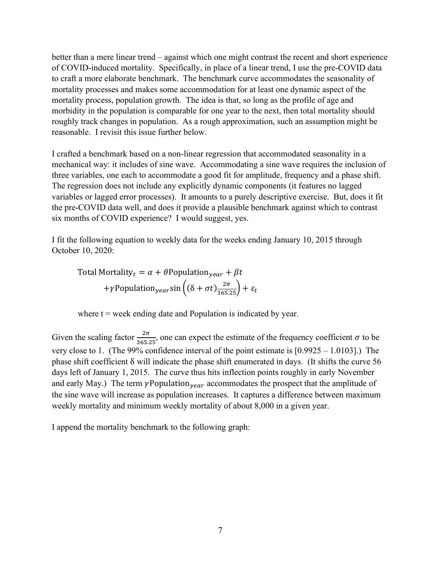better than a mere linear trend – against which one might contrast the recent and short experience of COVID-induced mortality. Specifically, in place of a linear trend, I use the pre-COVID data to craft a more elaborate benchmark. The benchmark curve accommodates the seasonality of mortality processes and makes some accommodation for at least one dynamic aspect of the mortality process, population growth. The idea is that, so long as the profile of age and morbidity in the population is comparable for one year to the next, then total mortality should roughly track changes in population. As a rough approximation, such an assumption might be reasonable. I revisit this issue further below.

I crafted a benchmark based on a non-linear regression that accommodated seasonality in a mechanical way: it includes of sine wave. Accommodating a sine wave requires the inclusion of three variables, one each to accommodate a good fit for amplitude, frequency and a phase shift. The regression does not include any explicitly dynamic components (it features no lagged variables or lagged error processes). It amounts to a purely descriptive exercise. But, does it fit the pre-COVID data well, and does it provide a plausible benchmark against which to contrast six months of COVID experience? I would suggest, yes.

I fit the following equation to weekly data for the weeks ending January 10, 2015 through October 10, 2020:

Total Mortality<sub>t</sub> = 
$$
\alpha + \theta
$$
Population<sub>year</sub> +  $\beta t$   
+ $\gamma$ Population<sub>year</sub>sin $\left((\delta + \sigma t) \frac{2\pi}{365.25}\right) + \varepsilon_t$ 

where  $t =$  week ending date and Population is indicated by year.

Given the scaling factor  $\frac{2\pi}{365.25}$ , one can expect the estimate of the frequency coefficient  $\sigma$  to be very close to 1. (The 99% confidence interval of the point estimate is [0.9925 – 1.0103].) The phase shift coefficient δ will indicate the phase shift enumerated in days. (It shifts the curve 56 days left of January 1, 2015. The curve thus hits inflection points roughly in early November and early May.) The term  $\gamma$ Population  $_{year}$  accommodates the prospect that the amplitude of the sine wave will increase as population increases. It captures a difference between maximum weekly mortality and minimum weekly mortality of about 8,000 in a given year.

I append the mortality benchmark to the following graph: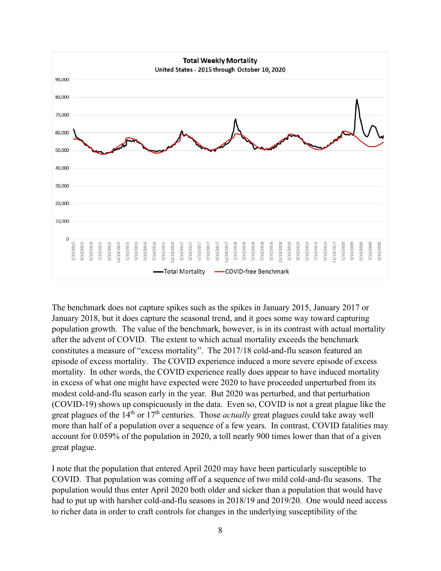

The benchmark does not capture spikes such as the spikes in January 2015, January 2017 or January 2018, but it does capture the seasonal trend, and it goes some way toward capturing population growth. The value of the benchmark, however, is in its contrast with actual mortality after the advent of COVID. The extent to which actual mortality exceeds the benchmark constitutes a measure of "excess mortality". The 2017/18 cold-and-flu season featured an episode of excess mortality. The COVID experience induced a more severe episode of excess mortality. In other words, the COVID experience really does appear to have induced mortality in excess of what one might have expected were 2020 to have proceeded unperturbed from its modest cold-and-flu season early in the year. But 2020 was perturbed, and that perturbation (COVID-19) shows up conspicuously in the data. Even so, COVID is not a great plague like the great plagues of the  $14<sup>th</sup>$  or  $17<sup>th</sup>$  centuries. Those *actually* great plagues could take away well more than half of a population over a sequence of a few years. In contrast, COVID fatalities may account for 0.059% of the population in 2020, a toll nearly 900 times lower than that of a given great plague.

I note that the population that entered April 2020 may have been particularly susceptible to COVID. That population was coming off of a sequence of two mild cold-and-flu seasons. The population would thus enter April 2020 both older and sicker than a population that would have had to put up with harsher cold-and-flu seasons in 2018/19 and 2019/20. One would need access to richer data in order to craft controls for changes in the underlying susceptibility of the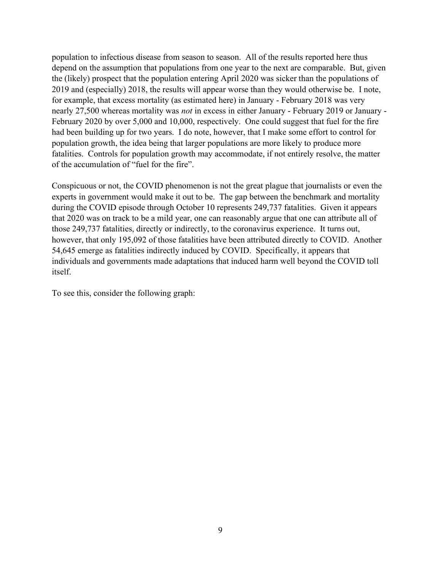population to infectious disease from season to season. All of the results reported here thus depend on the assumption that populations from one year to the next are comparable. But, given the (likely) prospect that the population entering April 2020 was sicker than the populations of 2019 and (especially) 2018, the results will appear worse than they would otherwise be. I note, for example, that excess mortality (as estimated here) in January - February 2018 was very nearly 27,500 whereas mortality was not in excess in either January - February 2019 or January - February 2020 by over 5,000 and 10,000, respectively. One could suggest that fuel for the fire had been building up for two years. I do note, however, that I make some effort to control for population growth, the idea being that larger populations are more likely to produce more fatalities. Controls for population growth may accommodate, if not entirely resolve, the matter of the accumulation of "fuel for the fire".

Conspicuous or not, the COVID phenomenon is not the great plague that journalists or even the experts in government would make it out to be. The gap between the benchmark and mortality during the COVID episode through October 10 represents 249,737 fatalities. Given it appears that 2020 was on track to be a mild year, one can reasonably argue that one can attribute all of those 249,737 fatalities, directly or indirectly, to the coronavirus experience. It turns out, however, that only 195,092 of those fatalities have been attributed directly to COVID. Another 54,645 emerge as fatalities indirectly induced by COVID. Specifically, it appears that individuals and governments made adaptations that induced harm well beyond the COVID toll itself.

To see this, consider the following graph: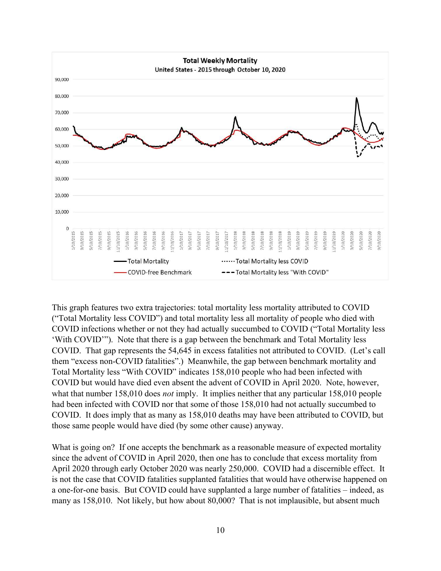

This graph features two extra trajectories: total mortality less mortality attributed to COVID ("Total Mortality less COVID") and total mortality less all mortality of people who died with COVID infections whether or not they had actually succumbed to COVID ("Total Mortality less 'With COVID'"). Note that there is a gap between the benchmark and Total Mortality less COVID. That gap represents the 54,645 in excess fatalities not attributed to COVID. (Let's call them "excess non-COVID fatalities".) Meanwhile, the gap between benchmark mortality and Total Mortality less "With COVID" indicates 158,010 people who had been infected with COVID but would have died even absent the advent of COVID in April 2020. Note, however, what that number 158,010 does *not* imply. It implies neither that any particular 158,010 people had been infected with COVID nor that some of those 158,010 had not actually succumbed to COVID. It does imply that as many as 158,010 deaths may have been attributed to COVID, but those same people would have died (by some other cause) anyway.

What is going on? If one accepts the benchmark as a reasonable measure of expected mortality since the advent of COVID in April 2020, then one has to conclude that excess mortality from April 2020 through early October 2020 was nearly 250,000. COVID had a discernible effect. It is not the case that COVID fatalities supplanted fatalities that would have otherwise happened on a one-for-one basis. But COVID could have supplanted a large number of fatalities – indeed, as many as 158,010. Not likely, but how about 80,000? That is not implausible, but absent much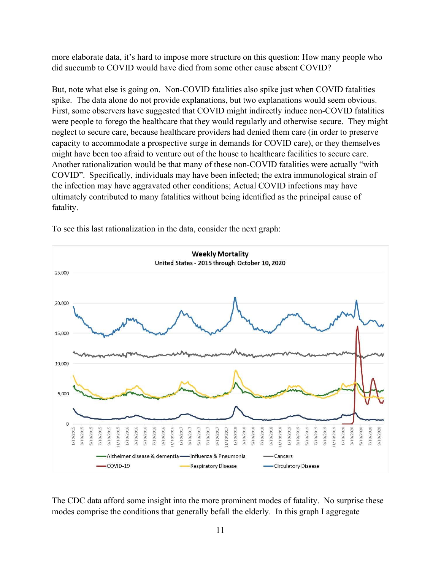more elaborate data, it's hard to impose more structure on this question: How many people who did succumb to COVID would have died from some other cause absent COVID?

But, note what else is going on. Non-COVID fatalities also spike just when COVID fatalities spike. The data alone do not provide explanations, but two explanations would seem obvious. First, some observers have suggested that COVID might indirectly induce non-COVID fatalities were people to forego the healthcare that they would regularly and otherwise secure. They might neglect to secure care, because healthcare providers had denied them care (in order to preserve capacity to accommodate a prospective surge in demands for COVID care), or they themselves might have been too afraid to venture out of the house to healthcare facilities to secure care. Another rationalization would be that many of these non-COVID fatalities were actually "with COVID". Specifically, individuals may have been infected; the extra immunological strain of the infection may have aggravated other conditions; Actual COVID infections may have ultimately contributed to many fatalities without being identified as the principal cause of fatality.



To see this last rationalization in the data, consider the next graph:

The CDC data afford some insight into the more prominent modes of fatality. No surprise these modes comprise the conditions that generally befall the elderly. In this graph I aggregate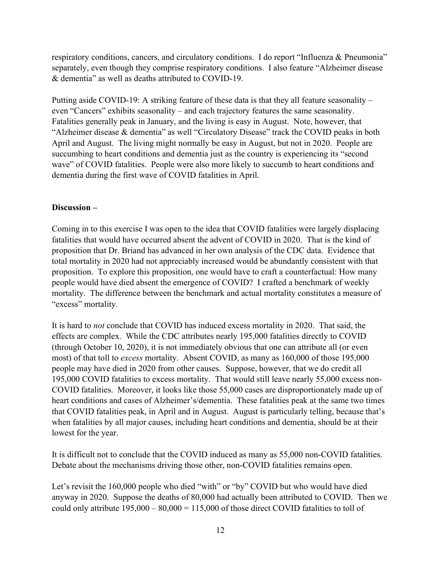respiratory conditions, cancers, and circulatory conditions. I do report "Influenza & Pneumonia" separately, even though they comprise respiratory conditions. I also feature "Alzheimer disease & dementia" as well as deaths attributed to COVID-19.

Putting aside COVID-19: A striking feature of these data is that they all feature seasonality – even "Cancers" exhibits seasonality – and each trajectory features the same seasonality. Fatalities generally peak in January, and the living is easy in August. Note, however, that "Alzheimer disease & dementia" as well "Circulatory Disease" track the COVID peaks in both April and August. The living might normally be easy in August, but not in 2020. People are succumbing to heart conditions and dementia just as the country is experiencing its "second wave" of COVID fatalities. People were also more likely to succumb to heart conditions and dementia during the first wave of COVID fatalities in April.

## Discussion –

Coming in to this exercise I was open to the idea that COVID fatalities were largely displacing fatalities that would have occurred absent the advent of COVID in 2020. That is the kind of proposition that Dr. Briand has advanced in her own analysis of the CDC data. Evidence that total mortality in 2020 had not appreciably increased would be abundantly consistent with that proposition. To explore this proposition, one would have to craft a counterfactual: How many people would have died absent the emergence of COVID? I crafted a benchmark of weekly mortality. The difference between the benchmark and actual mortality constitutes a measure of "excess" mortality.

It is hard to not conclude that COVID has induced excess mortality in 2020. That said, the effects are complex. While the CDC attributes nearly 195,000 fatalities directly to COVID (through October 10, 2020), it is not immediately obvious that one can attribute all (or even most) of that toll to excess mortality. Absent COVID, as many as 160,000 of those 195,000 people may have died in 2020 from other causes. Suppose, however, that we do credit all 195,000 COVID fatalities to excess mortality. That would still leave nearly 55,000 excess non-COVID fatalities. Moreover, it looks like those 55,000 cases are disproportionately made up of heart conditions and cases of Alzheimer's/dementia. These fatalities peak at the same two times that COVID fatalities peak, in April and in August. August is particularly telling, because that's when fatalities by all major causes, including heart conditions and dementia, should be at their lowest for the year.

It is difficult not to conclude that the COVID induced as many as 55,000 non-COVID fatalities. Debate about the mechanisms driving those other, non-COVID fatalities remains open.

Let's revisit the 160,000 people who died "with" or "by" COVID but who would have died anyway in 2020. Suppose the deaths of 80,000 had actually been attributed to COVID. Then we could only attribute  $195,000 - 80,000 = 115,000$  of those direct COVID fatalities to toll of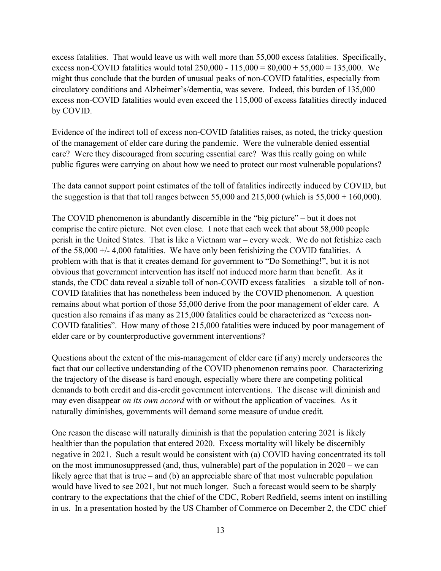excess fatalities. That would leave us with well more than 55,000 excess fatalities. Specifically, excess non-COVID fatalities would total  $250,000 - 115,000 = 80,000 + 55,000 = 135,000$ . We might thus conclude that the burden of unusual peaks of non-COVID fatalities, especially from circulatory conditions and Alzheimer's/dementia, was severe. Indeed, this burden of 135,000 excess non-COVID fatalities would even exceed the 115,000 of excess fatalities directly induced by COVID.

Evidence of the indirect toll of excess non-COVID fatalities raises, as noted, the tricky question of the management of elder care during the pandemic. Were the vulnerable denied essential care? Were they discouraged from securing essential care? Was this really going on while public figures were carrying on about how we need to protect our most vulnerable populations?

The data cannot support point estimates of the toll of fatalities indirectly induced by COVID, but the suggestion is that that toll ranges between  $55,000$  and  $215,000$  (which is  $55,000 + 160,000$ ).

The COVID phenomenon is abundantly discernible in the "big picture" – but it does not comprise the entire picture. Not even close. I note that each week that about 58,000 people perish in the United States. That is like a Vietnam war – every week. We do not fetishize each of the  $58,000 +/- 4,000$  fatalities. We have only been fetishizing the COVID fatalities. A problem with that is that it creates demand for government to "Do Something!", but it is not obvious that government intervention has itself not induced more harm than benefit. As it stands, the CDC data reveal a sizable toll of non-COVID excess fatalities – a sizable toll of non-COVID fatalities that has nonetheless been induced by the COVID phenomenon. A question remains about what portion of those 55,000 derive from the poor management of elder care. A question also remains if as many as 215,000 fatalities could be characterized as "excess non-COVID fatalities". How many of those 215,000 fatalities were induced by poor management of elder care or by counterproductive government interventions?

Questions about the extent of the mis-management of elder care (if any) merely underscores the fact that our collective understanding of the COVID phenomenon remains poor. Characterizing the trajectory of the disease is hard enough, especially where there are competing political demands to both credit and dis-credit government interventions. The disease will diminish and may even disappear on its own accord with or without the application of vaccines. As it naturally diminishes, governments will demand some measure of undue credit.

One reason the disease will naturally diminish is that the population entering 2021 is likely healthier than the population that entered 2020. Excess mortality will likely be discernibly negative in 2021. Such a result would be consistent with (a) COVID having concentrated its toll on the most immunosuppressed (and, thus, vulnerable) part of the population in 2020 – we can likely agree that that is true – and (b) an appreciable share of that most vulnerable population would have lived to see 2021, but not much longer. Such a forecast would seem to be sharply contrary to the expectations that the chief of the CDC, Robert Redfield, seems intent on instilling in us. In a presentation hosted by the US Chamber of Commerce on December 2, the CDC chief